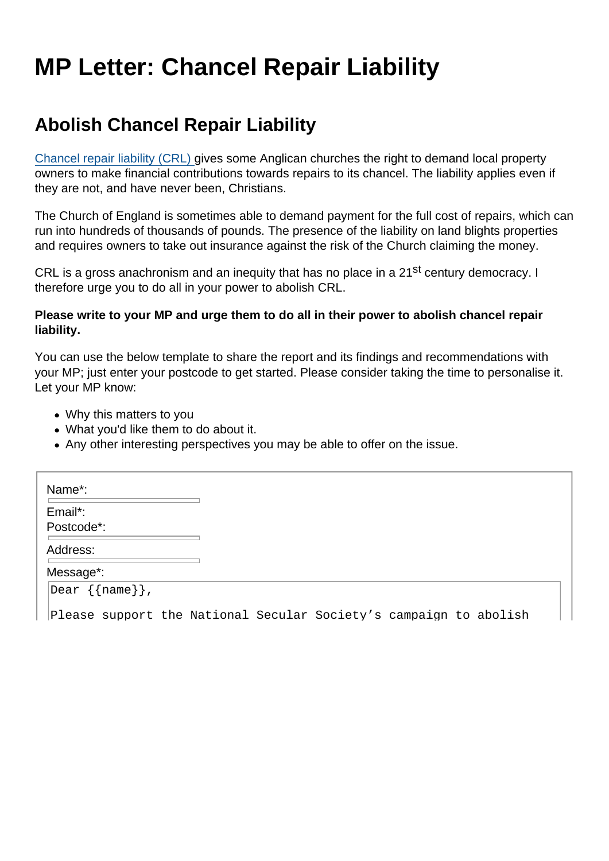## MP Letter: Chancel Repair Liability

## Abolish Chancel Repair Liability

[Chancel repair liability \(CRL\)](https://www.secularism.org.uk/chancel-tax) gives some Anglican churches the right to demand local property owners to make financial contributions towards repairs to its chancel. The liability applies even if they are not, and have never been, Christians.

The Church of England is sometimes able to demand payment for the full cost of repairs, which can run into hundreds of thousands of pounds. The presence of the liability on land blights properties and requires owners to take out insurance against the risk of the Church claiming the money.

CRL is a gross anachronism and an inequity that has no place in a 21<sup>st</sup> century democracy. I therefore urge you to do all in your power to abolish CRL.

Please write to your MP and urge them to do all in their power to abolish chancel repair liability.

You can use the below template to share the report and its findings and recommendations with your MP; just enter your postcode to get started. Please consider taking the time to personalise it. Let your MP know:

- Why this matters to you
- What you'd like them to do about it.
- Any other interesting perspectives you may be able to offer on the issue.

| Name*:                |                                                                   |
|-----------------------|-------------------------------------------------------------------|
| Email*:<br>Postcode*: |                                                                   |
| Address:              |                                                                   |
| Message*:             |                                                                   |
| Dear {{name}},        |                                                                   |
|                       | Please support the National Secular Society's campaign to abolish |

Please support the National Secular Society's campaign to abolish